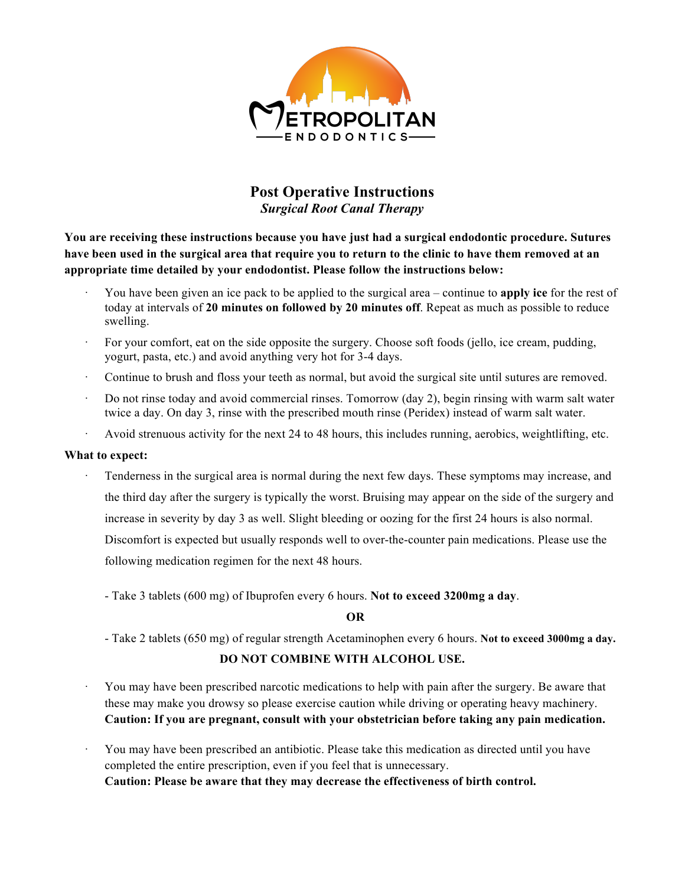

# **Post Operative Instructions** *Surgical Root Canal Therapy*

**You are receiving these instructions because you have just had a surgical endodontic procedure. Sutures have been used in the surgical area that require you to return to the clinic to have them removed at an appropriate time detailed by your endodontist. Please follow the instructions below:**

- · You have been given an ice pack to be applied to the surgical area continue to **apply ice** for the rest of today at intervals of **20 minutes on followed by 20 minutes off**. Repeat as much as possible to reduce swelling.
- For your comfort, eat on the side opposite the surgery. Choose soft foods (jello, ice cream, pudding, yogurt, pasta, etc.) and avoid anything very hot for 3-4 days.
- Continue to brush and floss your teeth as normal, but avoid the surgical site until sutures are removed.
- · Do not rinse today and avoid commercial rinses. Tomorrow (day 2), begin rinsing with warm salt water twice a day. On day 3, rinse with the prescribed mouth rinse (Peridex) instead of warm salt water.
- · Avoid strenuous activity for the next 24 to 48 hours, this includes running, aerobics, weightlifting, etc.

## **What to expect:**

Tenderness in the surgical area is normal during the next few days. These symptoms may increase, and the third day after the surgery is typically the worst. Bruising may appear on the side of the surgery and increase in severity by day 3 as well. Slight bleeding or oozing for the first 24 hours is also normal. Discomfort is expected but usually responds well to over-the-counter pain medications. Please use the following medication regimen for the next 48 hours.

- Take 3 tablets (600 mg) of Ibuprofen every 6 hours. **Not to exceed 3200mg a day**.

## **OR**

- Take 2 tablets (650 mg) of regular strength Acetaminophen every 6 hours. **Not to exceed 3000mg a day.**

## **DO NOT COMBINE WITH ALCOHOL USE.**

- · You may have been prescribed narcotic medications to help with pain after the surgery. Be aware that these may make you drowsy so please exercise caution while driving or operating heavy machinery. **Caution: If you are pregnant, consult with your obstetrician before taking any pain medication.**
- · You may have been prescribed an antibiotic. Please take this medication as directed until you have completed the entire prescription, even if you feel that is unnecessary. **Caution: Please be aware that they may decrease the effectiveness of birth control.**